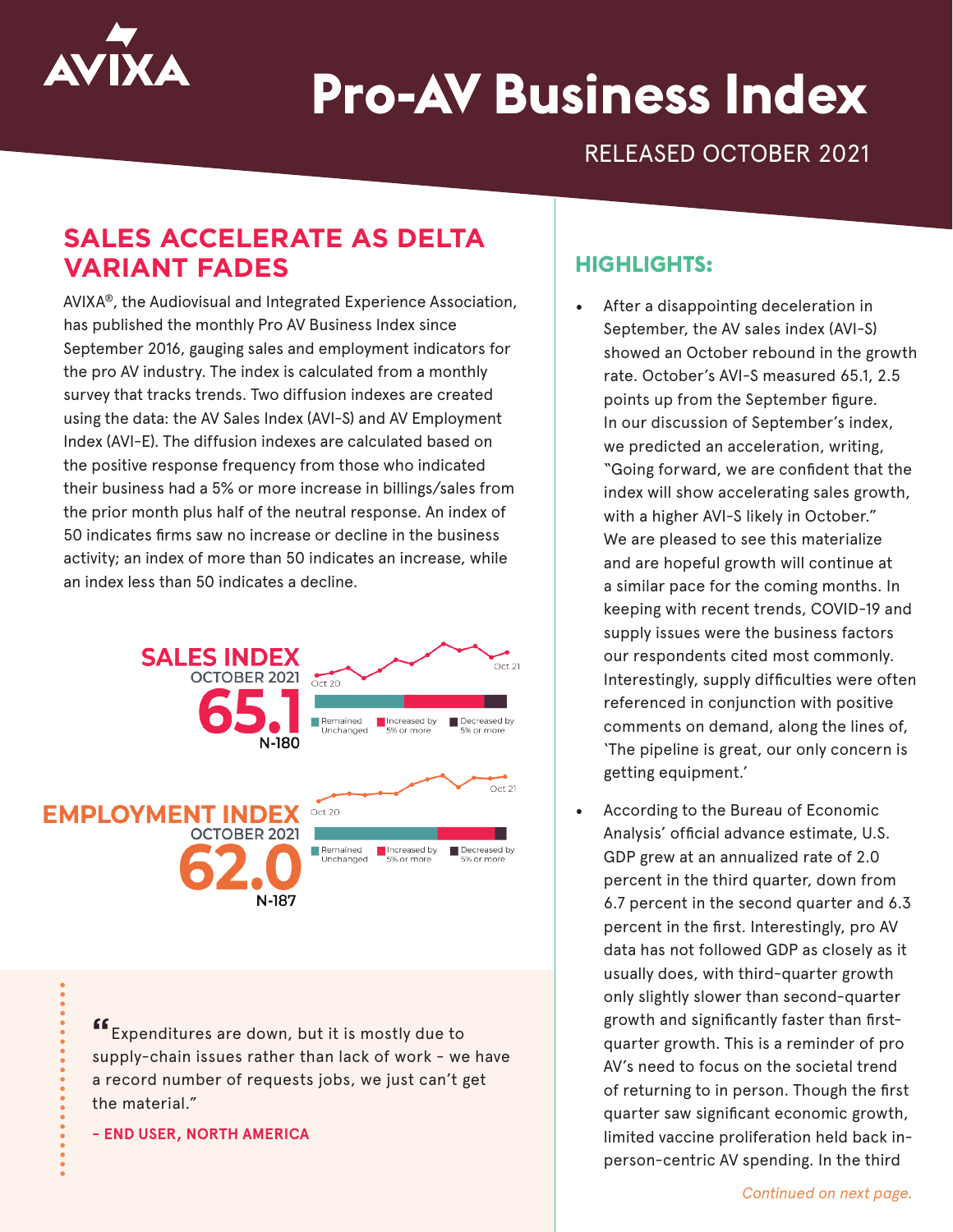

# **Pro-AV Business Index**

RELEASED OCTOBER 2021

# **SALES ACCELERATE AS DELTA VARIANT FADES**

AVIXA®, the Audiovisual and Integrated Experience Association, has published the monthly Pro AV Business Index since September 2016, gauging sales and employment indicators for the pro AV industry. The index is calculated from a monthly survey that tracks trends. Two diffusion indexes are created using the data: the AV Sales Index (AVI-S) and AV Employment Index (AVI-E). The diffusion indexes are calculated based on the positive response frequency from those who indicated their business had a 5% or more increase in billings/sales from the prior month plus half of the neutral response. An index of 50 indicates firms saw no increase or decline in the business activity; an index of more than 50 indicates an increase, while an index less than 50 indicates a decline.



Expenditures are down, but it is mostly due to supply-chain issues rather than lack of work - we have a record number of requests jobs, we just can't get the material."

**- END USER, NORTH AMERICA**

### **HIGHLIGHTS:**

- After a disappointing deceleration in September, the AV sales index (AVI-S) showed an October rebound in the growth rate. October's AVI-S measured 65.1, 2.5 points up from the September figure. In our discussion of September's index, we predicted an acceleration, writing, "Going forward, we are confident that the index will show accelerating sales growth, with a higher AVI-S likely in October." We are pleased to see this materialize and are hopeful growth will continue at a similar pace for the coming months. In keeping with recent trends, COVID-19 and supply issues were the business factors our respondents cited most commonly. Interestingly, supply difficulties were often referenced in conjunction with positive comments on demand, along the lines of, 'The pipeline is great, our only concern is getting equipment.'
- According to the Bureau of Economic Analysis' official advance estimate, U.S. GDP grew at an annualized rate of 2.0 percent in the third quarter, down from 6.7 percent in the second quarter and 6.3 percent in the first. Interestingly, pro AV data has not followed GDP as closely as it usually does, with third-quarter growth only slightly slower than second-quarter growth and significantly faster than firstquarter growth. This is a reminder of pro AV's need to focus on the societal trend of returning to in person. Though the first quarter saw significant economic growth, limited vaccine proliferation held back inperson-centric AV spending. In the third

*Continued on next page.*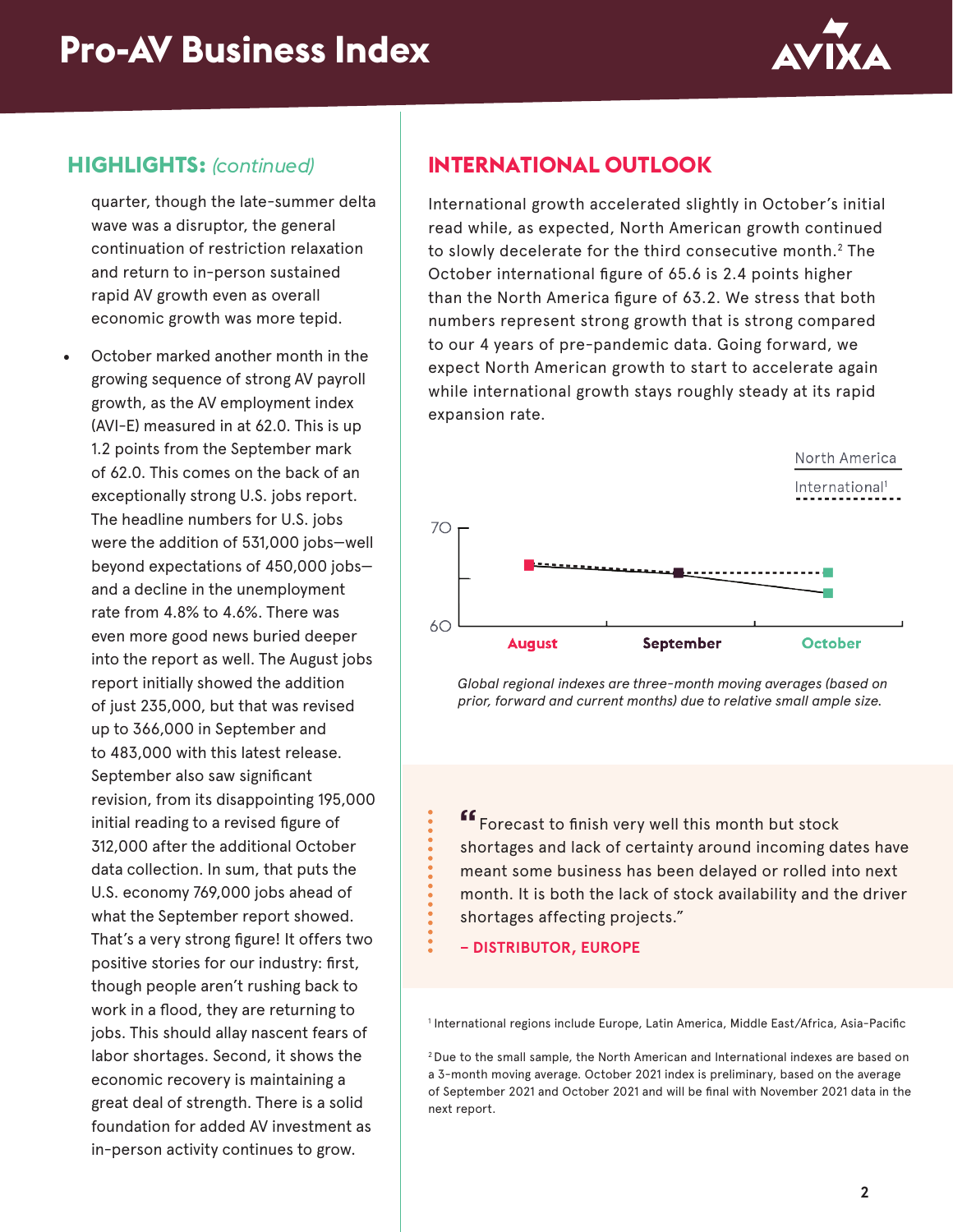

#### **HIGHLIGHTS:** *(continued)*

quarter, though the late-summer delta wave was a disruptor, the general continuation of restriction relaxation and return to in-person sustained rapid AV growth even as overall economic growth was more tepid.

October marked another month in the growing sequence of strong AV payroll growth, as the AV employment index (AVI-E) measured in at 62.0. This is up 1.2 points from the September mark of 62.0. This comes on the back of an exceptionally strong U.S. jobs report. The headline numbers for U.S. jobs were the addition of 531,000 jobs—well beyond expectations of 450,000 jobs and a decline in the unemployment rate from 4.8% to 4.6%. There was even more good news buried deeper into the report as well. The August jobs report initially showed the addition of just 235,000, but that was revised up to 366,000 in September and to 483,000 with this latest release. September also saw significant revision, from its disappointing 195,000 initial reading to a revised figure of 312,000 after the additional October data collection. In sum, that puts the U.S. economy 769,000 jobs ahead of what the September report showed. That's a very strong figure! It offers two positive stories for our industry: first, though people aren't rushing back to work in a flood, they are returning to jobs. This should allay nascent fears of labor shortages. Second, it shows the economic recovery is maintaining a great deal of strength. There is a solid foundation for added AV investment as in-person activity continues to grow.

## **INTERNATIONAL OUTLOOK**

International growth accelerated slightly in October's initial read while, as expected, North American growth continued to slowly decelerate for the third consecutive month.2 The October international figure of 65.6 is 2.4 points higher than the North America figure of 63.2. We stress that both numbers represent strong growth that is strong compared to our 4 years of pre-pandemic data. Going forward, we expect North American growth to start to accelerate again while international growth stays roughly steady at its rapid expansion rate.



*Global regional indexes are three-month moving averages (based on prior, forward and current months) due to relative small ample size.*

**"**Forecast to finish very well this month but stock shortages and lack of certainty around incoming dates have meant some business has been delayed or rolled into next month. It is both the lack of stock availability and the driver shortages affecting projects."

**– DISTRIBUTOR, EUROPE**

1 International regions include Europe, Latin America, Middle East/Africa, Asia-Pacific

2 Due to the small sample, the North American and International indexes are based on a 3-month moving average. October 2021 index is preliminary, based on the average of September 2021 and October 2021 and will be final with November 2021 data in the next report.